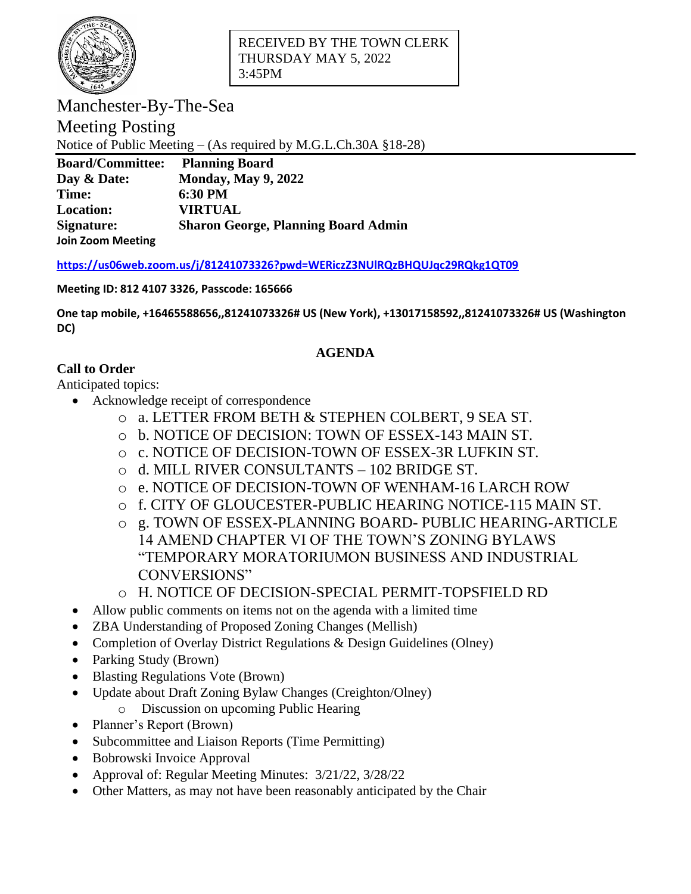

Manchester-By-The-Sea

Meeting Posting

Notice of Public Meeting – (As required by M.G.L.Ch.30A §18-28)

| <b>Board/Committee:</b>  | <b>Planning Board</b>                      |
|--------------------------|--------------------------------------------|
| Day & Date:              | <b>Monday, May 9, 2022</b>                 |
| Time:                    | 6:30 PM                                    |
| <b>Location:</b>         | <b>VIRTUAL</b>                             |
| Signature:               | <b>Sharon George, Planning Board Admin</b> |
| <b>Join Zoom Meeting</b> |                                            |

**<https://us06web.zoom.us/j/81241073326?pwd=WERiczZ3NUlRQzBHQUJqc29RQkg1QT09>**

## **Meeting ID: 812 4107 3326, Passcode: 165666**

**One tap mobile, +16465588656,,81241073326# US (New York), +13017158592,,81241073326# US (Washington DC)**

## **AGENDA**

## **Call to Order**

Anticipated topics:

- Acknowledge receipt of correspondence
	- o a. LETTER FROM BETH & STEPHEN COLBERT, 9 SEA ST.
	- o b. NOTICE OF DECISION: TOWN OF ESSEX-143 MAIN ST.
	- o c. NOTICE OF DECISION-TOWN OF ESSEX-3R LUFKIN ST.
	- o d. MILL RIVER CONSULTANTS 102 BRIDGE ST.
	- o e. NOTICE OF DECISION-TOWN OF WENHAM-16 LARCH ROW
	- o f. CITY OF GLOUCESTER-PUBLIC HEARING NOTICE-115 MAIN ST.
	- o g. TOWN OF ESSEX-PLANNING BOARD- PUBLIC HEARING-ARTICLE 14 AMEND CHAPTER VI OF THE TOWN'S ZONING BYLAWS "TEMPORARY MORATORIUMON BUSINESS AND INDUSTRIAL CONVERSIONS"
	- o H. NOTICE OF DECISION-SPECIAL PERMIT-TOPSFIELD RD
- Allow public comments on items not on the agenda with a limited time
- ZBA Understanding of Proposed Zoning Changes (Mellish)
- Completion of Overlay District Regulations & Design Guidelines (Olney)
- Parking Study (Brown)
- Blasting Regulations Vote (Brown)
- Update about Draft Zoning Bylaw Changes (Creighton/Olney)
	- o Discussion on upcoming Public Hearing
- Planner's Report (Brown)
- Subcommittee and Liaison Reports (Time Permitting)
- Bobrowski Invoice Approval
- Approval of: Regular Meeting Minutes: 3/21/22, 3/28/22
- Other Matters, as may not have been reasonably anticipated by the Chair